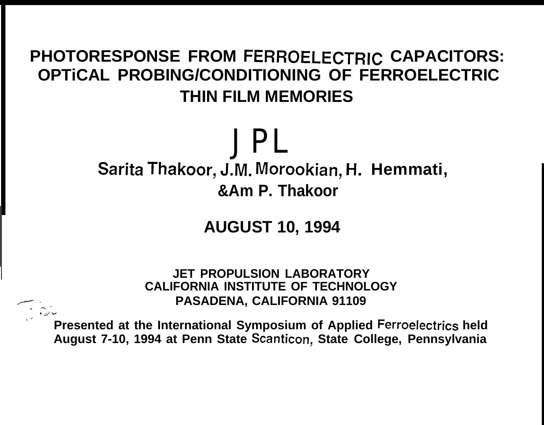#### **PHOTORESPONSE FROM FERROELECTRIC CAPACITORS: OPTiCAL PROBING/CONDITIONING OF FERROELECTRIC THIN FILM MEMORIES**

# JPL

**Sarita Thakoor, J.M. Morookian, H. Hemmati, &Am P. Thakoor**

**AUGUST 10, 1994**

**JET PROPULSION LABORATORY CALIFORNIA INSTITUTE OF TECHNOLOGY /-. PASADENA, CALIFORNIA 91109 .-**

 $\frac{1}{2}$  .  $\frac{1}{2}$ **Presented at the International Symposium of Applied Ferroelectrics held August 7-10, 1994 at Penn State Scanticon, State College, Pennsylvania**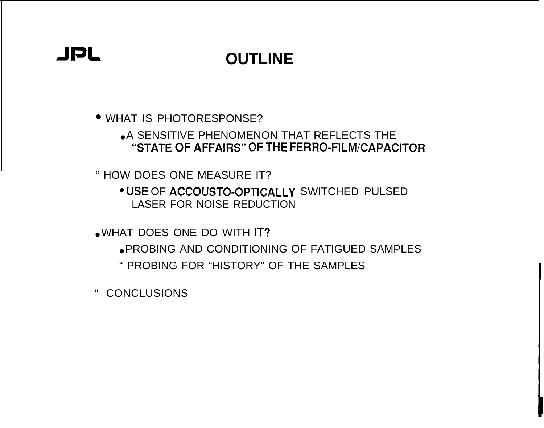## JPL **OUTLINE**

" WHAT IS PHOTORESPONSE?

**A SENSITIVE PHENOMENON THAT REFLECTS THE** "STATE OF AFFAIRS" **OF THE** FERRO-FILM/CAPACITOR

" HOW DOES ONE MEASURE IT?

**• USE OF ACCOUSTO-OPTICALLY SWITCHED PULSED** LASER FOR NOISE REDUCTION

. WHAT DOES ONE DO WITH IT?

- PROBING AND CONDITIONING OF FATIGUED SAMPLES
- " PROBING FOR "HISTORY" OF THE SAMPLES

" CONCLUSIONS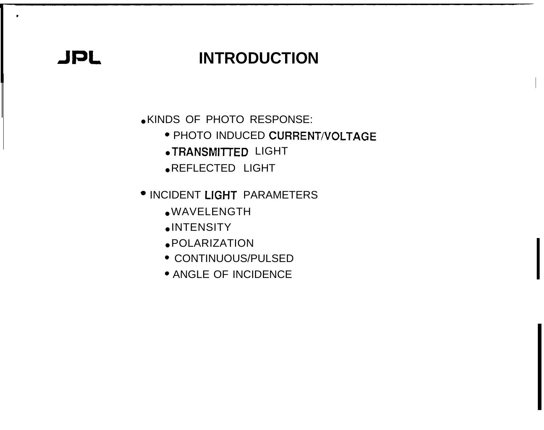.

#### JPL **INTRODUCTION**

- **.KINDS OF PHOTO RESPONSE:** 
	- · PHOTO INDUCED CURRENT/VOLTAGE

I

- TRANSMITTED LIGHT
- REFLECTED LIGHT
- " INCIDENT LIGHT PARAMETERS
	- WAVELENGTH
	- INTENSITY
	- POLARIZATION
	- CONTINUOUS/PULSED
	- " ANGLE OF INCIDENCE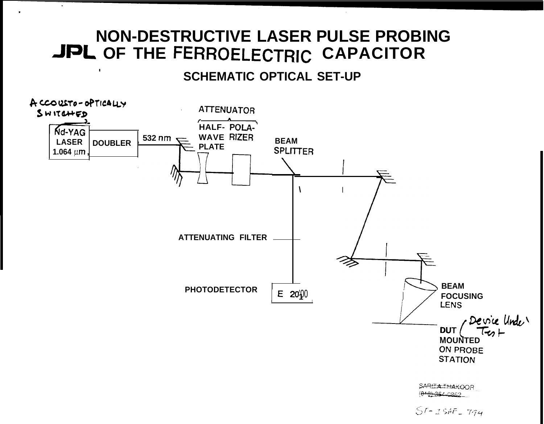#### **NON-DESTRUCTIVE LASER PULSE PROBING** JPL OF THE FERROELECTRIC CAPACITOR

 $\blacksquare$ 

#### **SCHEMATIC OPTICAL SET-UP**

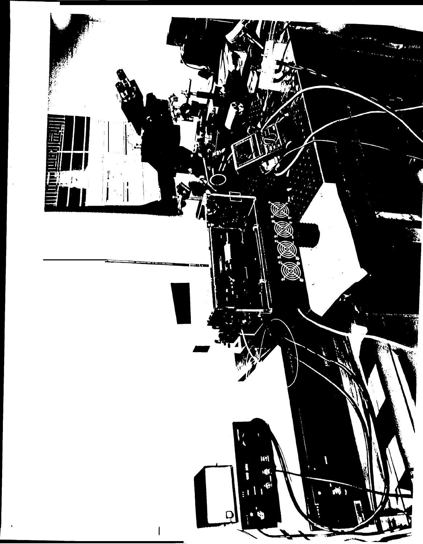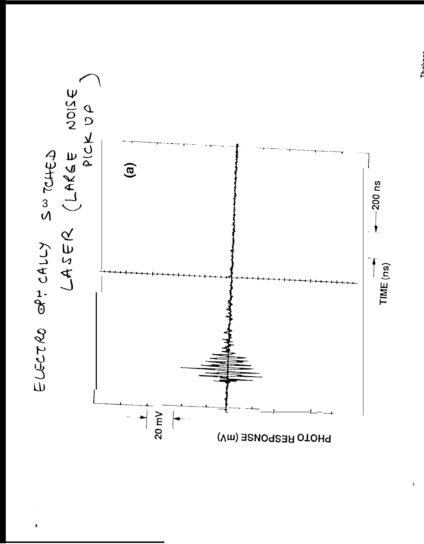

 $\bar{1}$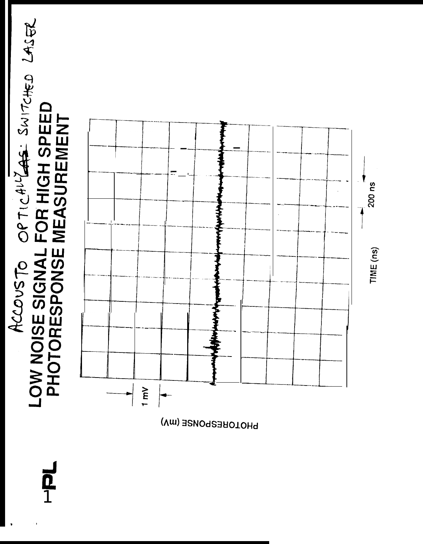# OPTICANIAS: SWITCHED LASER LOW NOISE SIGNAL FOR HIGH SPEED<br>PHOTORESPONSE MEASUREMENT Accousto



PHOTORESPONSE (MV)

 $\vec{a}$ <br>1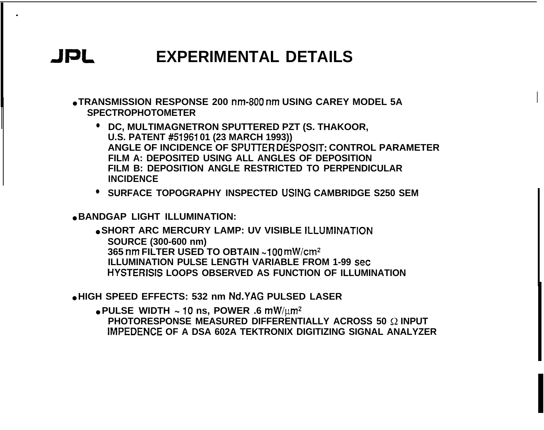## JPL **EXPERIMENTAL DETAILS**

- **TRANSMISSION RESPONSE 200 nm-800 nm USING CAREY MODEL 5A SPECTROPHOTOMETER**
	- **DC, MULTIMAGNETRON SPUTTERED PZT (S. THAKOOR, U.S. PATENT #51961 01 (23 MARCH 1993))** ANGLE OF INCIDENCE OF SPUTTER DESPOSIT: CONTROL PARAMETER **FILM A: DEPOSITED USING ALL ANGLES OF DEPOSITION FILM B: DEPOSITION ANGLE RESTRICTED TO PERPENDICULAR INCIDENCE**

**I**

● **SURFACE TOPOGRAPHY INSPECTED USING CAMBRIDGE S250 SEM**

● **BANDGAP LIGHT ILLUMINATION:**

.

● **SHORT ARC MERCURY LAMP: UV VISIBLE lLLUMINATiON SOURCE (300-600 nm) 365 nm FILTER USED TO OBTAIN .100 mW/cmz ILLUMINATION PULSE LENGTH VARIABLE FROM 1-99 sec HYSTERISIS LOOPS OBSERVED AS FUNCTION OF ILLUMINATION**

● **HIGH SPEED EFFECTS: 532 nm Nd.YAG PULSED LASER**

 $\bullet$  PULSE WIDTH  $\sim$  10 ns, POWER .6 mW/ $\mu$ m<sup>2</sup> **PHOTORESPONSE MEASURED DIFFERENTIALLY ACROSS 50 Q INPUT IMPEDENCE OF A DSA 602A TEKTRONIX DIGITIZING SIGNAL ANALYZER**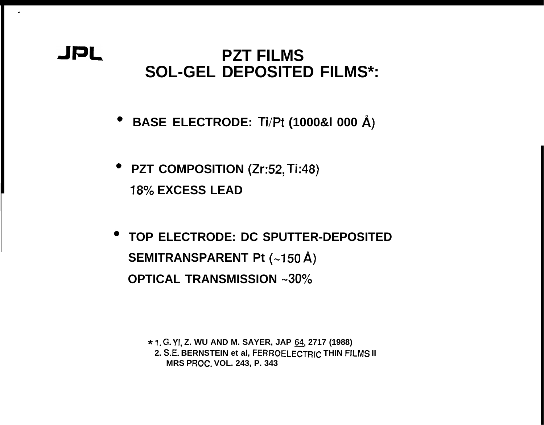#### **JPL PZT FILMS SOL-GEL DEPOSITED FILMS\*:**

.

- **BASE ELECTRODE: Ti/Pt (1000&l 000 ii)**
- **PZT COMPOSITION (Zr:52, Ti:48) 18% EXCESS LEAD**
- **TOP ELECTRODE: DC SPUTTER-DEPOSITED SEMITRANSPARENT Pt** (~150 Å) **OPTICAL TRANSMISSION** ~30%

**\*1. G. YI, Z. WU AND M. SAYER, JAP**  $\underline{64}$ **, 2717 (1988) 2. S.E. BERNSTEIN et al, FERROELECTRIC THIN FILMS II MRS PROC. VOL. 243, P. 343**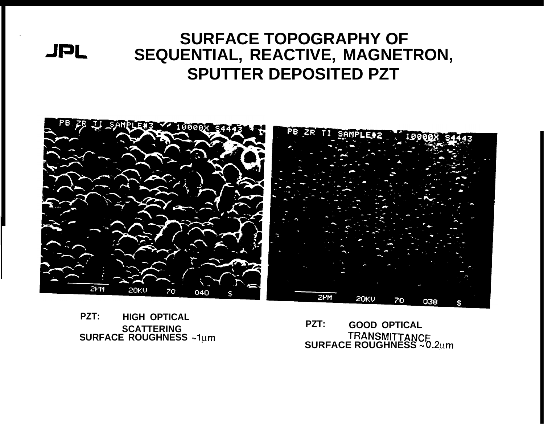

#### **SURFACE TOPOGRAPHY OF** SEQUENTIAL, REACTIVE, MAGNETRON, **SPUTTER DEPOSITED PZT**



PZT: **HIGH OPTICAL SCATTERING SURFACE ROUGHNESS ~1µm** 

PZT: **GOOD OPTICAL** TRANSMITTANCE<br>SURFACE ROUGHNESS ~ 0.2µm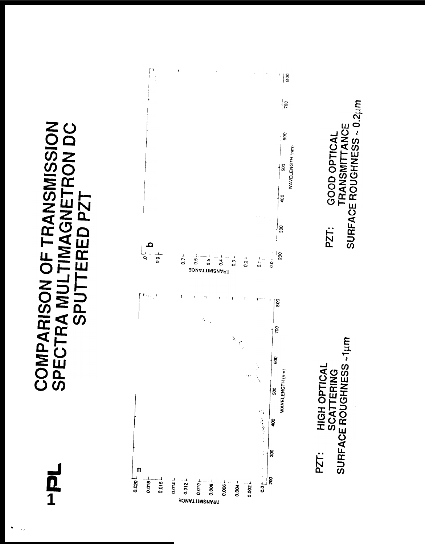# **COMPARISON OF TRANSMISSION** SPECTRA MULTIMAGNETRON DC SPUTTERED PZT



<u>군</u><br>1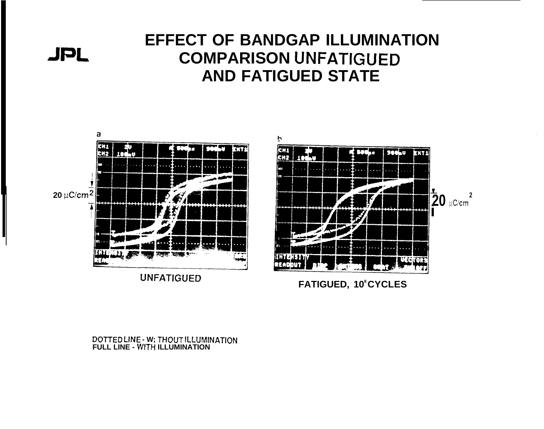#### **EFFECT OF BANDGAP ILLUMINATION** JPL **COMPARISON UNFATIGUED AND FATIGUED STATE**



**DO?TED LINE - W; THOUT fLLUMINATION FULL LINE - WITH ILLUMINATION**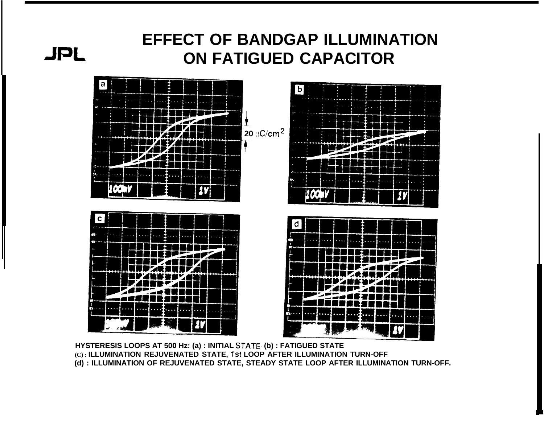#### **IPL EFFECT OF BANDGAP ILLUMINATION**<br>ON FATIGUED CAPACITOR **ON FATIGUED CAPACITOR**



**HYSTERESIS LOOPS AT 500 Hz: (a) : INITIAL STATE (b) : FATIGUED STATE (C) : ILLUMINATION REJUVENATED STATE, Ist LOOP AFTER ILLUMINATION TURN-OFF (d) : ILLUMINATION OF REJUVENATED STATE, STEADY STATE LOOP AFTER ILLUMINATION TURN-OFF.**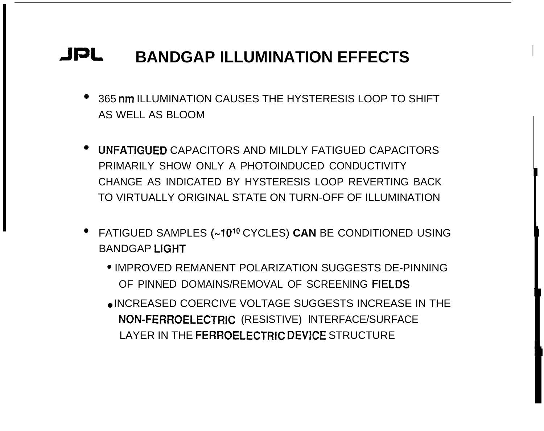#### JPL **BANDGAP ILLUMINATION EFFECTS <sup>I</sup>**

- 365 **nm** ILLUMINATION CAUSES THE HYSTERESIS LOOP TO SHIFT AS WELL AS BLOOM
- UNFATIGUED CAPACITORS AND MILDLY FATIGUED CAPACITORS PRIMARILY SHOW ONLY A PHOTOINDUCED CONDUCTIVITY CHANGE AS INDICATED BY HYSTERESIS LOOP REVERTING BACK TO VIRTUALLY ORIGINAL STATE ON TURN-OFF OF ILLUMINATION
- FATIGUED SAMPLES (-1010 CYCLES) **CAN** BE CONDITIONED USING BANDGAP LIGHT
	- " IMPROVED REMANENT POLARIZATION SUGGESTS DE-PINNING OF PINNED DOMAINS/REMOVAL OF SCREENING FIELDS
	- INCREASED COERCIVE VOLTAGE SUGGESTS INCREASE IN THE NON-FERROELECTRIC (RESISTIVE) lNTERFACE/SURFACE LAYER IN THE FERROELECTRIC DEVICE STRUCTURE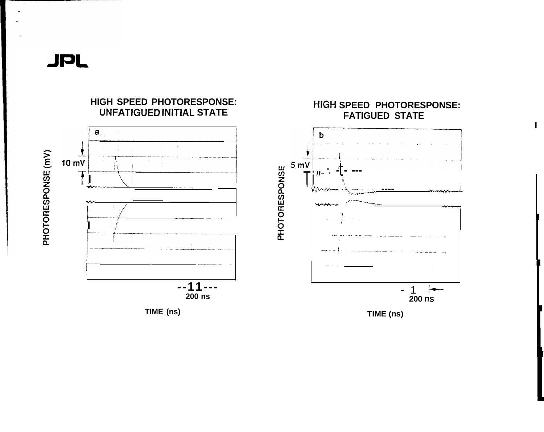

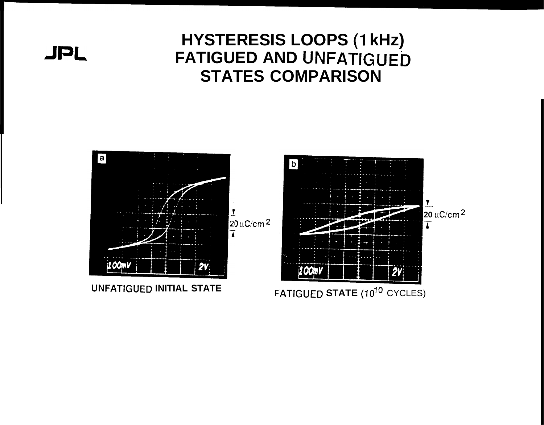

#### **HYSTERESIS LOOPS (1 kHz) FATIGUED AND UNFATIGUED STATES COMPARISON**

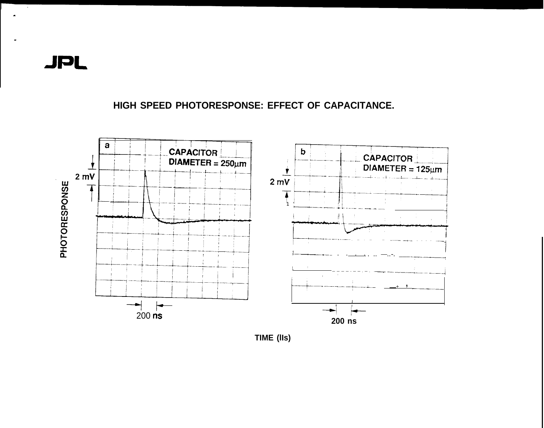JPL

.

 $\overline{\phantom{a}}$ 

.

#### **HIGH SPEED PHOTORESPONSE: EFFECT OF CAPACITANCE.**



**TIME (lIs)**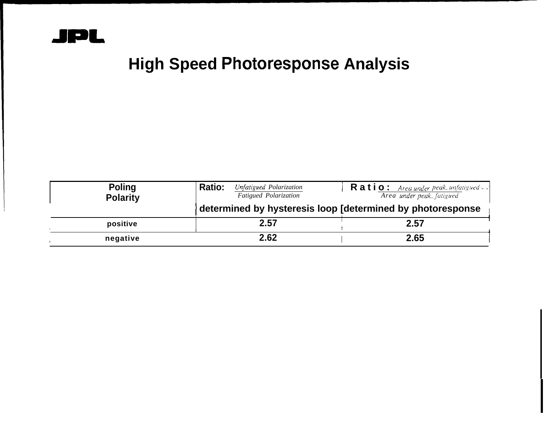

#### **High Speed Photoresponse Analysis**

| <b>Poling</b><br><b>Polarity</b> | <b>Ratio:</b><br>Unfatigued Polarization<br><b>Fatigued Polarization</b> | <b>Ratio:</b> Area under peak, unfatigued $\Box$<br>Area under peak, fatigued |
|----------------------------------|--------------------------------------------------------------------------|-------------------------------------------------------------------------------|
|                                  |                                                                          | determined by hysteresis loop [determined by photoresponse                    |
| positive                         | 2.57                                                                     | 2.57                                                                          |
| negative                         | 2.62                                                                     | 2.65                                                                          |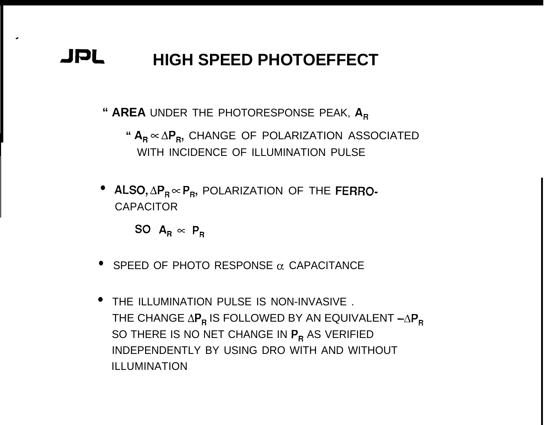#### **JPL HIGH SPEED PHOTOEFFECT**

" AREA UNDER THE PHOTORESPONSE PEAK,  $A_R$ 

"  $A_R \propto \Delta P_R$ , CHANGE OF POLARIZATION ASSOCIATED WITH INCIDENCE OF ILLUMINATION PULSE

ALSO,  $\Delta P_R \propto P_R$ , POLARIZATION OF THE FERRO-**CAPACITOR** 

SO  $A_R \propto P_R$ 

- SPEED OF PHOTO RESPONSE  $\alpha$  CAPACITANCE
- THE ILLUMINATION PULSE IS NON-INVASIVE. THE CHANGE  $\Delta P_R$  IS FOLLOWED BY AN EQUIVALENT  $-\Delta P_R$ SO THERE IS NO NET CHANGE IN  $P_R$  AS VERIFIED INDEPENDENTLY BY USING DRO WITH AND WITHOUT **ILLUMINATION**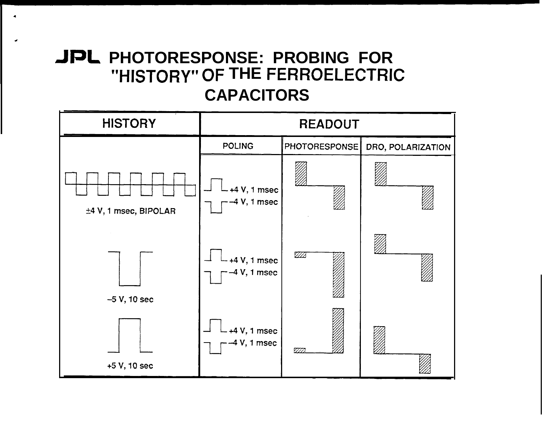#### JPL **PHOTORESPONSE: PROBING FOR "HISTORY" OF THE FERROELECTRIC CAPACITORS**

.

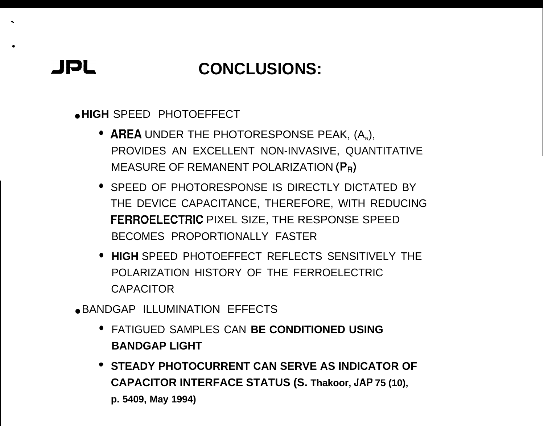¢,

●

#### JPL **CONCLUSIONS:**

● **HIGH** SPEED PHOTOEFFECT

- $\bullet$  **AREA** UNDER THE PHOTORESPONSE PEAK,  $(A_{R})$ , PROVIDES AN EXCELLENT NON-INVASIVE, QUANTITATIVE MEASURE OF REMANENT POLARIZATION ( $P_R$ )
- SPEED OF PHOTORESPONSE IS DIRECTLY DICTATED BY THE DEVICE CAPACITANCE, THEREFORE, WITH REDUCING FERROELECTRIC PIXEL SIZE, THE RESPONSE SPEED BECOMES PROPORTIONALLY FASTER
- **HIGH** SPEED PHOTOEFFECT REFLECTS SENSITIVELY THE POLARIZATION HISTORY OF THE FERROELECTRIC CAPACITOR

● BANDGAP ILLUMINATION EFFECTS

- FATIGUED SAMPLES CAN **BE CONDITIONED USING BANDGAP LIGHT**
- **STEADY PHOTOCURRENT CAN SERVE AS INDICATOR OF CAPACITOR INTERFACE STATUS (S. Thakoor, JAP 75 (10), p. 5409, May 1994)**